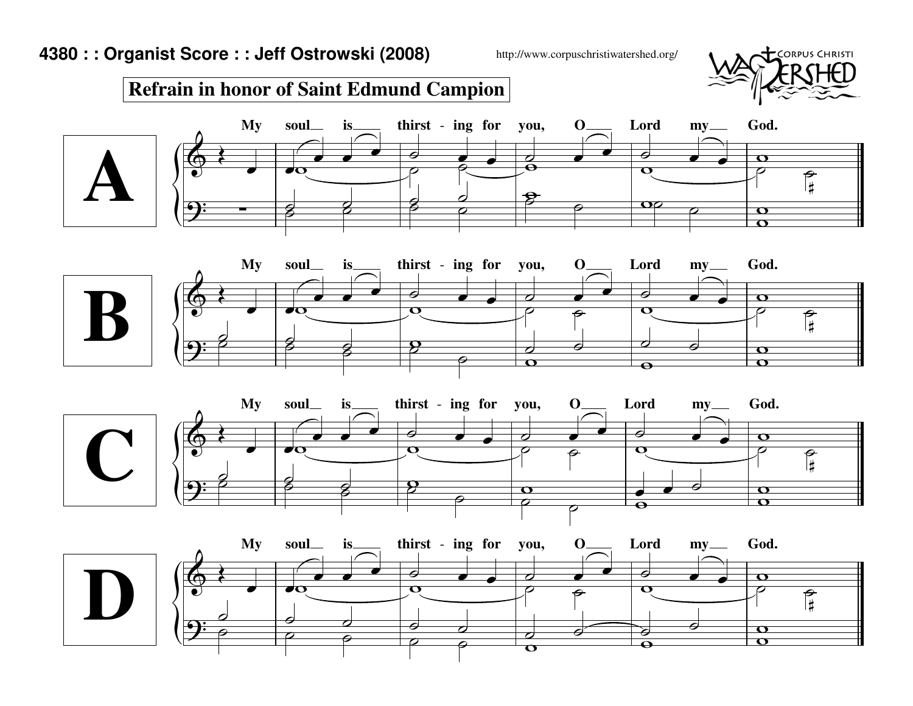http://www.corpuschristiwatershed.org/



## **Refrain in honor of Saint Edmund Campion**